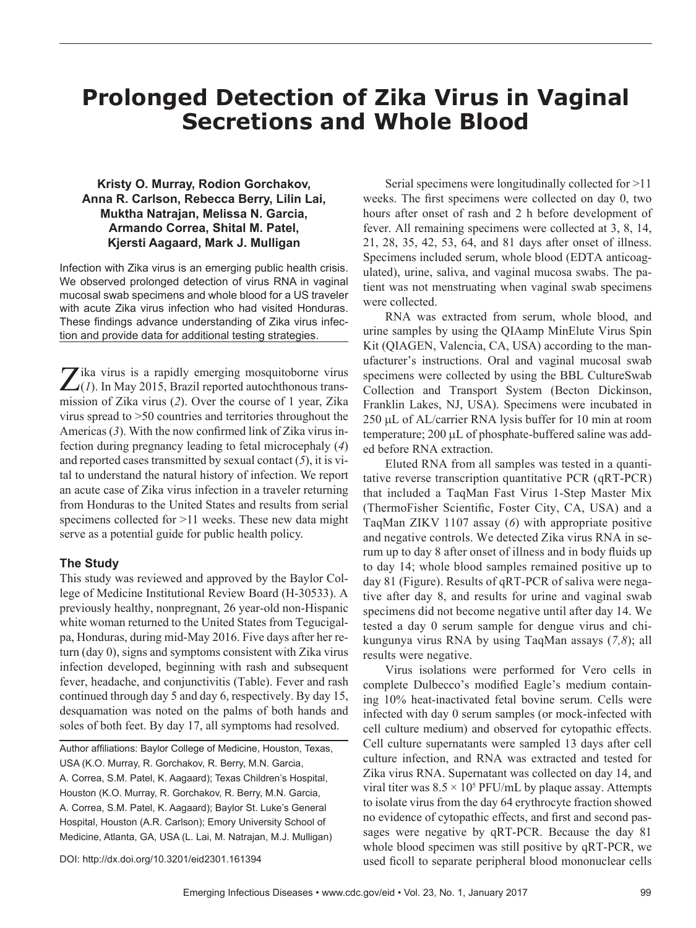# **Prolonged Detection of Zika Virus in Vaginal Secretions and Whole Blood**

## **Kristy O. Murray, Rodion Gorchakov, Anna R. Carlson, Rebecca Berry, Lilin Lai, Muktha Natrajan, Melissa N. Garcia, Armando Correa, Shital M. Patel, Kjersti Aagaard, Mark J. Mulligan**

Infection with Zika virus is an emerging public health crisis. We observed prolonged detection of virus RNA in vaginal mucosal swab specimens and whole blood for a US traveler with acute Zika virus infection who had visited Honduras. These findings advance understanding of Zika virus infection and provide data for additional testing strategies.

 $\sum$ ika virus is a rapidly emerging mosquitoborne virus  $\sum$ (*1*). In May 2015, Brazil reported autochthonous transmission of Zika virus (*2*). Over the course of 1 year, Zika virus spread to >50 countries and territories throughout the Americas (*3*). With the now confirmed link of Zika virus infection during pregnancy leading to fetal microcephaly (*4*) and reported cases transmitted by sexual contact (*5*), it is vital to understand the natural history of infection. We report an acute case of Zika virus infection in a traveler returning from Honduras to the United States and results from serial specimens collected for >11 weeks. These new data might serve as a potential guide for public health policy.

## **The Study**

This study was reviewed and approved by the Baylor College of Medicine Institutional Review Board (H-30533). A previously healthy, nonpregnant, 26 year-old non-Hispanic white woman returned to the United States from Tegucigalpa, Honduras, during mid-May 2016. Five days after her return (day 0), signs and symptoms consistent with Zika virus infection developed, beginning with rash and subsequent fever, headache, and conjunctivitis (Table). Fever and rash continued through day 5 and day 6, respectively. By day 15, desquamation was noted on the palms of both hands and soles of both feet. By day 17, all symptoms had resolved.

Author affiliations: Baylor College of Medicine, Houston, Texas, USA (K.O. Murray, R. Gorchakov, R. Berry, M.N. Garcia, A. Correa, S.M. Patel, K. Aagaard); Texas Children's Hospital, Houston (K.O. Murray, R. Gorchakov, R. Berry, M.N. Garcia, A. Correa, S.M. Patel, K. Aagaard); Baylor St. Luke's General Hospital, Houston (A.R. Carlson); Emory University School of Medicine, Atlanta, GA, USA (L. Lai, M. Natrajan, M.J. Mulligan)

Serial specimens were longitudinally collected for >11 weeks. The first specimens were collected on day 0, two hours after onset of rash and 2 h before development of fever. All remaining specimens were collected at 3, 8, 14, 21, 28, 35, 42, 53, 64, and 81 days after onset of illness. Specimens included serum, whole blood (EDTA anticoagulated), urine, saliva, and vaginal mucosa swabs. The patient was not menstruating when vaginal swab specimens were collected.

RNA was extracted from serum, whole blood, and urine samples by using the QIAamp MinElute Virus Spin Kit (QIAGEN, Valencia, CA, USA) according to the manufacturer's instructions. Oral and vaginal mucosal swab specimens were collected by using the BBL CultureSwab Collection and Transport System (Becton Dickinson, Franklin Lakes, NJ, USA). Specimens were incubated in 250 µL of AL/carrier RNA lysis buffer for 10 min at room temperature; 200 µL of phosphate-buffered saline was added before RNA extraction.

Eluted RNA from all samples was tested in a quantitative reverse transcription quantitative PCR (qRT-PCR) that included a TaqMan Fast Virus 1-Step Master Mix (ThermoFisher Scientific, Foster City, CA, USA) and a TaqMan ZIKV 1107 assay (*6*) with appropriate positive and negative controls. We detected Zika virus RNA in serum up to day 8 after onset of illness and in body fluids up to day 14; whole blood samples remained positive up to day 81 (Figure). Results of qRT-PCR of saliva were negative after day 8, and results for urine and vaginal swab specimens did not become negative until after day 14. We tested a day 0 serum sample for dengue virus and chikungunya virus RNA by using TaqMan assays (*7,8*); all results were negative.

Virus isolations were performed for Vero cells in complete Dulbecco's modified Eagle's medium containing 10% heat-inactivated fetal bovine serum. Cells were infected with day 0 serum samples (or mock-infected with cell culture medium) and observed for cytopathic effects. Cell culture supernatants were sampled 13 days after cell culture infection, and RNA was extracted and tested for Zika virus RNA. Supernatant was collected on day 14, and viral titer was  $8.5 \times 10^5$  PFU/mL by plaque assay. Attempts to isolate virus from the day 64 erythrocyte fraction showed no evidence of cytopathic effects, and first and second passages were negative by qRT-PCR. Because the day 81 whole blood specimen was still positive by qRT-PCR, we used ficoll to separate peripheral blood mononuclear cells

DOI: http://dx.doi.org/10.3201/eid2301.161394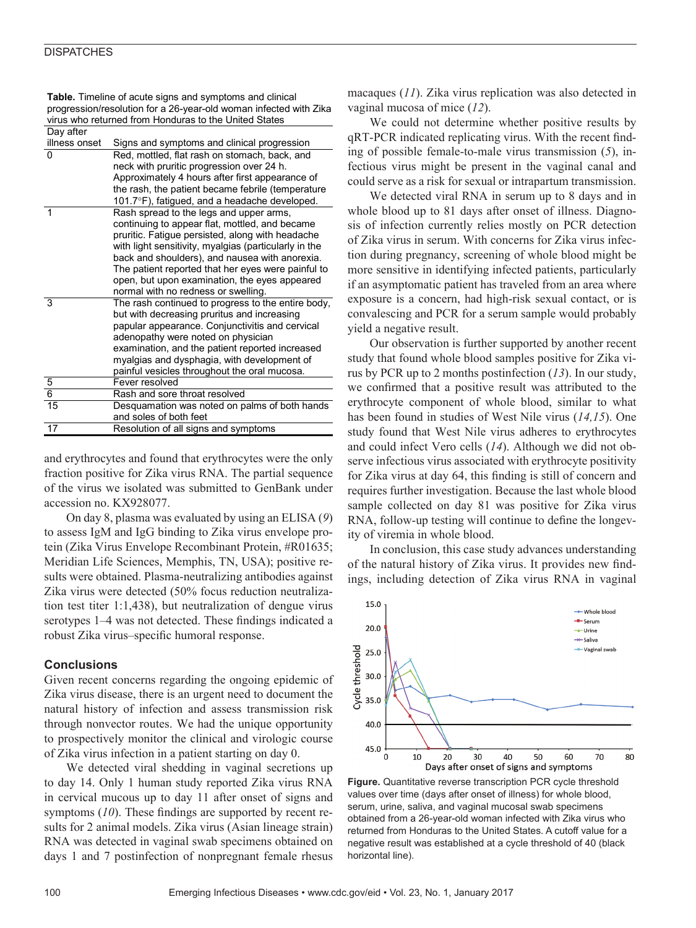### **DISPATCHES**

| Day after     |                                                       |
|---------------|-------------------------------------------------------|
| illness onset | Signs and symptoms and clinical progression           |
| $\Omega$      | Red, mottled, flat rash on stomach, back, and         |
|               | neck with pruritic progression over 24 h.             |
|               | Approximately 4 hours after first appearance of       |
|               | the rash, the patient became febrile (temperature     |
|               | 101.7°F), fatigued, and a headache developed.         |
| 1             | Rash spread to the legs and upper arms,               |
|               | continuing to appear flat, mottled, and became        |
|               | pruritic. Fatigue persisted, along with headache      |
|               | with light sensitivity, myalgias (particularly in the |
|               | back and shoulders), and nausea with anorexia.        |
|               | The patient reported that her eyes were painful to    |
|               | open, but upon examination, the eyes appeared         |
|               | normal with no redness or swelling.                   |
| 3             | The rash continued to progress to the entire body,    |
|               | but with decreasing pruritus and increasing           |
|               | papular appearance. Conjunctivitis and cervical       |
|               | adenopathy were noted on physician                    |
|               | examination, and the patient reported increased       |
|               | myalgias and dysphagia, with development of           |
|               | painful vesicles throughout the oral mucosa.          |
| $\frac{5}{6}$ | Fever resolved                                        |
|               | Rash and sore throat resolved                         |
| 15            | Desquamation was noted on palms of both hands         |
|               | and soles of both feet                                |
| 17            | Resolution of all signs and symptoms                  |

**Table.** Timeline of acute signs and symptoms and clinical progression/resolution for a 26-year-old woman infected with Zika virus who returned from Honduras to the United States

and erythrocytes and found that erythrocytes were the only fraction positive for Zika virus RNA. The partial sequence of the virus we isolated was submitted to GenBank under accession no. KX928077.

On day 8, plasma was evaluated by using an ELISA (*9*) to assess IgM and IgG binding to Zika virus envelope protein (Zika Virus Envelope Recombinant Protein, #R01635; Meridian Life Sciences, Memphis, TN, USA); positive results were obtained. Plasma-neutralizing antibodies against Zika virus were detected (50% focus reduction neutralization test titer 1:1,438), but neutralization of dengue virus serotypes 1–4 was not detected. These findings indicated a robust Zika virus–specific humoral response.

## **Conclusions**

Given recent concerns regarding the ongoing epidemic of Zika virus disease, there is an urgent need to document the natural history of infection and assess transmission risk through nonvector routes. We had the unique opportunity to prospectively monitor the clinical and virologic course of Zika virus infection in a patient starting on day 0.

We detected viral shedding in vaginal secretions up to day 14. Only 1 human study reported Zika virus RNA in cervical mucous up to day 11 after onset of signs and symptoms (*10*). These findings are supported by recent results for 2 animal models. Zika virus (Asian lineage strain) RNA was detected in vaginal swab specimens obtained on days 1 and 7 postinfection of nonpregnant female rhesus

macaques (*11*). Zika virus replication was also detected in vaginal mucosa of mice (*12*).

We could not determine whether positive results by qRT-PCR indicated replicating virus. With the recent finding of possible female-to-male virus transmission (*5*), infectious virus might be present in the vaginal canal and could serve as a risk for sexual or intrapartum transmission.

We detected viral RNA in serum up to 8 days and in whole blood up to 81 days after onset of illness. Diagnosis of infection currently relies mostly on PCR detection of Zika virus in serum. With concerns for Zika virus infection during pregnancy, screening of whole blood might be more sensitive in identifying infected patients, particularly if an asymptomatic patient has traveled from an area where exposure is a concern, had high-risk sexual contact, or is convalescing and PCR for a serum sample would probably yield a negative result.

Our observation is further supported by another recent study that found whole blood samples positive for Zika virus by PCR up to 2 months postinfection (*13*). In our study, we confirmed that a positive result was attributed to the erythrocyte component of whole blood, similar to what has been found in studies of West Nile virus (*14,15*). One study found that West Nile virus adheres to erythrocytes and could infect Vero cells (*14*). Although we did not observe infectious virus associated with erythrocyte positivity for Zika virus at day 64, this finding is still of concern and requires further investigation. Because the last whole blood sample collected on day 81 was positive for Zika virus RNA, follow-up testing will continue to define the longevity of viremia in whole blood.

In conclusion, this case study advances understanding of the natural history of Zika virus. It provides new findings, including detection of Zika virus RNA in vaginal



**Figure.** Quantitative reverse transcription PCR cycle threshold values over time (days after onset of illness) for whole blood, serum, urine, saliva, and vaginal mucosal swab specimens obtained from a 26-year-old woman infected with Zika virus who returned from Honduras to the United States. A cutoff value for a negative result was established at a cycle threshold of 40 (black horizontal line).